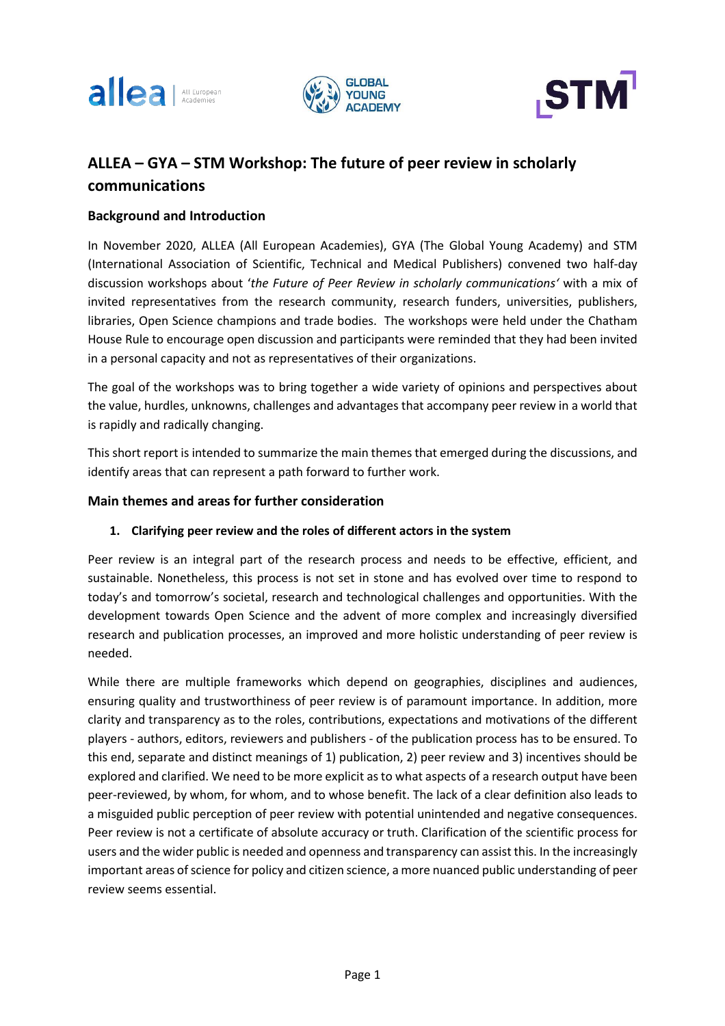





# **ALLEA – GYA – STM Workshop: The future of peer review in scholarly communications**

## **Background and Introduction**

In November 2020, ALLEA (All European Academies), GYA (The Global Young Academy) and STM (International Association of Scientific, Technical and Medical Publishers) convened two half-day discussion workshops about '*the Future of Peer Review in scholarly communications'* with a mix of invited representatives from the research community, research funders, universities, publishers, libraries, Open Science champions and trade bodies. The workshops were held under the Chatham House Rule to encourage open discussion and participants were reminded that they had been invited in a personal capacity and not as representatives of their organizations.

The goal of the workshops was to bring together a wide variety of opinions and perspectives about the value, hurdles, unknowns, challenges and advantages that accompany peer review in a world that is rapidly and radically changing.

This short report is intended to summarize the main themes that emerged during the discussions, and identify areas that can represent a path forward to further work.

# **Main themes and areas for further consideration**

### **1. Clarifying peer review and the roles of different actors in the system**

Peer review is an integral part of the research process and needs to be effective, efficient, and sustainable. Nonetheless, this process is not set in stone and has evolved over time to respond to today's and tomorrow's societal, research and technological challenges and opportunities. With the development towards Open Science and the advent of more complex and increasingly diversified research and publication processes, an improved and more holistic understanding of peer review is needed.

While there are multiple frameworks which depend on geographies, disciplines and audiences, ensuring quality and trustworthiness of peer review is of paramount importance. In addition, more clarity and transparency as to the roles, contributions, expectations and motivations of the different players - authors, editors, reviewers and publishers - of the publication process has to be ensured. To this end, separate and distinct meanings of 1) publication, 2) peer review and 3) incentives should be explored and clarified. We need to be more explicit asto what aspects of a research output have been peer-reviewed, by whom, for whom, and to whose benefit. The lack of a clear definition also leads to a misguided public perception of peer review with potential unintended and negative consequences. Peer review is not a certificate of absolute accuracy or truth. Clarification of the scientific process for users and the wider public is needed and openness and transparency can assist this. In the increasingly important areas of science for policy and citizen science, a more nuanced public understanding of peer review seems essential.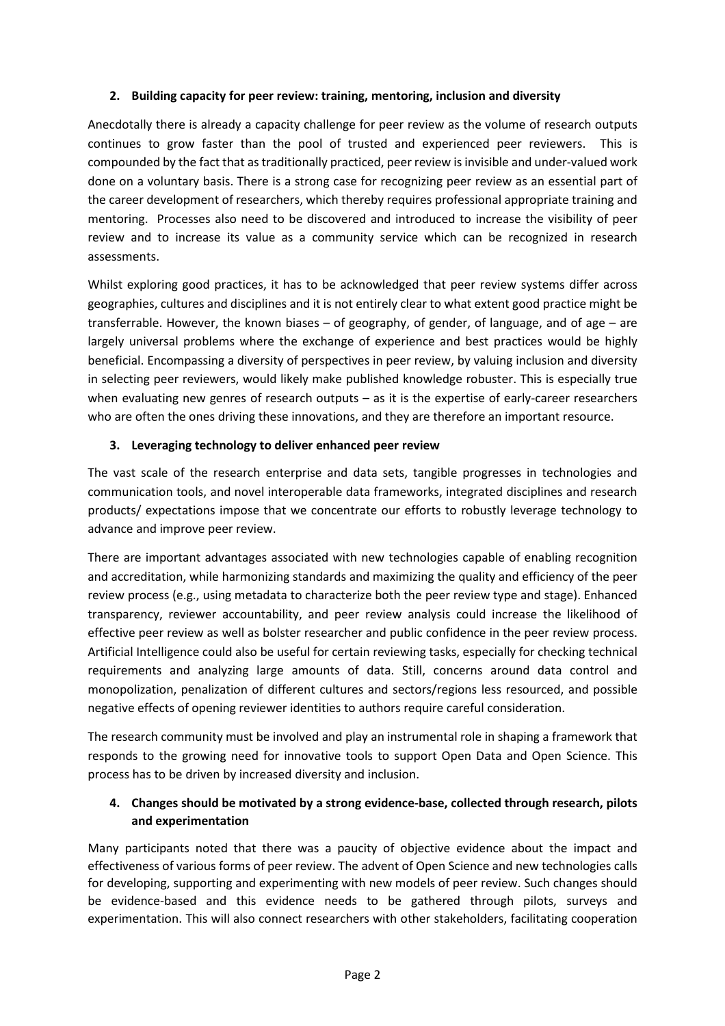## **2. Building capacity for peer review: training, mentoring, inclusion and diversity**

Anecdotally there is already a capacity challenge for peer review as the volume of research outputs continues to grow faster than the pool of trusted and experienced peer reviewers. This is compounded by the fact that astraditionally practiced, peer review isinvisible and under-valued work done on a voluntary basis. There is a strong case for recognizing peer review as an essential part of the career development of researchers, which thereby requires professional appropriate training and mentoring. Processes also need to be discovered and introduced to increase the visibility of peer review and to increase its value as a community service which can be recognized in research assessments.

Whilst exploring good practices, it has to be acknowledged that peer review systems differ across geographies, cultures and disciplines and it is not entirely clear to what extent good practice might be transferrable. However, the known biases – of geography, of gender, of language, and of age – are largely universal problems where the exchange of experience and best practices would be highly beneficial. Encompassing a diversity of perspectives in peer review, by valuing inclusion and diversity in selecting peer reviewers, would likely make published knowledge robuster. This is especially true when evaluating new genres of research outputs – as it is the expertise of early-career researchers who are often the ones driving these innovations, and they are therefore an important resource.

# **3. Leveraging technology to deliver enhanced peer review**

The vast scale of the research enterprise and data sets, tangible progresses in technologies and communication tools, and novel interoperable data frameworks, integrated disciplines and research products/ expectations impose that we concentrate our efforts to robustly leverage technology to advance and improve peer review.

There are important advantages associated with new technologies capable of enabling recognition and accreditation, while harmonizing standards and maximizing the quality and efficiency of the peer review process (e.g., using metadata to characterize both the peer review type and stage). Enhanced transparency, reviewer accountability, and peer review analysis could increase the likelihood of effective peer review as well as bolster researcher and public confidence in the peer review process. Artificial Intelligence could also be useful for certain reviewing tasks, especially for checking technical requirements and analyzing large amounts of data. Still, concerns around data control and monopolization, penalization of different cultures and sectors/regions less resourced, and possible negative effects of opening reviewer identities to authors require careful consideration.

The research community must be involved and play an instrumental role in shaping a framework that responds to the growing need for innovative tools to support Open Data and Open Science. This process has to be driven by increased diversity and inclusion.

# **4. Changes should be motivated by a strong evidence-base, collected through research, pilots and experimentation**

Many participants noted that there was a paucity of objective evidence about the impact and effectiveness of various forms of peer review. The advent of Open Science and new technologies calls for developing, supporting and experimenting with new models of peer review. Such changes should be evidence-based and this evidence needs to be gathered through pilots, surveys and experimentation. This will also connect researchers with other stakeholders, facilitating cooperation